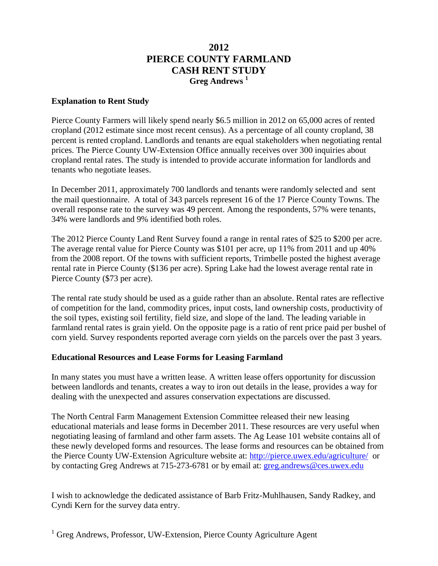## **2012 PIERCE COUNTY FARMLAND CASH RENT STUDY Greg Andrews <sup>1</sup>**

## **Explanation to Rent Study**

Pierce County Farmers will likely spend nearly \$6.5 million in 2012 on 65,000 acres of rented cropland (2012 estimate since most recent census). As a percentage of all county cropland, 38 percent is rented cropland. Landlords and tenants are equal stakeholders when negotiating rental prices. The Pierce County UW-Extension Office annually receives over 300 inquiries about cropland rental rates. The study is intended to provide accurate information for landlords and tenants who negotiate leases.

In December 2011, approximately 700 landlords and tenants were randomly selected and sent the mail questionnaire. A total of 343 parcels represent 16 of the 17 Pierce County Towns. The overall response rate to the survey was 49 percent. Among the respondents, 57% were tenants, 34% were landlords and 9% identified both roles.

The 2012 Pierce County Land Rent Survey found a range in rental rates of \$25 to \$200 per acre. The average rental value for Pierce County was \$101 per acre, up 11% from 2011 and up 40% from the 2008 report. Of the towns with sufficient reports, Trimbelle posted the highest average rental rate in Pierce County (\$136 per acre). Spring Lake had the lowest average rental rate in Pierce County (\$73 per acre).

The rental rate study should be used as a guide rather than an absolute. Rental rates are reflective of competition for the land, commodity prices, input costs, land ownership costs, productivity of the soil types, existing soil fertility, field size, and slope of the land. The leading variable in farmland rental rates is grain yield. On the opposite page is a ratio of rent price paid per bushel of corn yield. Survey respondents reported average corn yields on the parcels over the past 3 years.

## **Educational Resources and Lease Forms for Leasing Farmland**

In many states you must have a written lease. A written lease offers opportunity for discussion between landlords and tenants, creates a way to iron out details in the lease, provides a way for dealing with the unexpected and assures conservation expectations are discussed.

The North Central Farm Management Extension Committee released their new leasing educational materials and lease forms in December 2011. These resources are very useful when negotiating leasing of farmland and other farm assets. The Ag Lease 101 website contains all of these newly developed forms and resources. The lease forms and resources can be obtained from the Pierce County UW-Extension Agriculture website at:<http://pierce.uwex.edu/agriculture/>or by contacting Greg Andrews at 715-273-6781 or by email at: [greg.andrews@ces.uwex.edu](mailto:greg.andrews@ces.uwex.edu)

I wish to acknowledge the dedicated assistance of Barb Fritz-Muhlhausen, Sandy Radkey, and Cyndi Kern for the survey data entry.